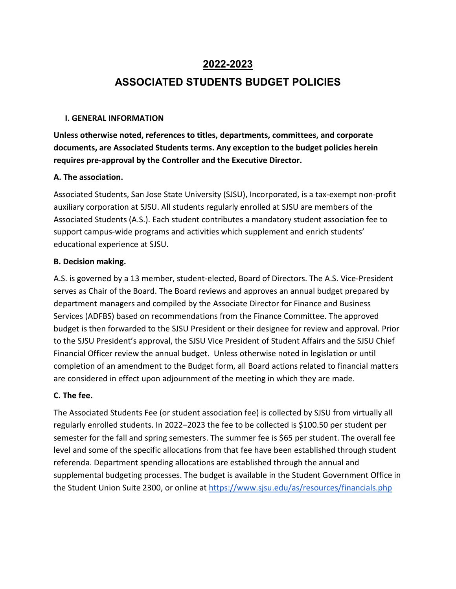## **2022-2023**

## **ASSOCIATED STUDENTS BUDGET POLICIES**

#### **I. GENERAL INFORMATION**

**Unless otherwise noted, references to titles, departments, committees, and corporate documents, are Associated Students terms. Any exception to the budget policies herein requires pre-approval by the Controller and the Executive Director.**

#### **A. The association.**

Associated Students, San Jose State University (SJSU), Incorporated, is a tax-exempt non-profit auxiliary corporation at SJSU. All students regularly enrolled at SJSU are members of the Associated Students (A.S.). Each student contributes a mandatory student association fee to support campus-wide programs and activities which supplement and enrich students' educational experience at SJSU.

#### **B. Decision making.**

A.S. is governed by a 13 member, student-elected, Board of Directors. The A.S. Vice-President serves as Chair of the Board. The Board reviews and approves an annual budget prepared by department managers and compiled by the Associate Director for Finance and Business Services (ADFBS) based on recommendations from the Finance Committee. The approved budget is then forwarded to the SJSU President or their designee for review and approval. Prior to the SJSU President's approval, the SJSU Vice President of Student Affairs and the SJSU Chief Financial Officer review the annual budget. Unless otherwise noted in legislation or until completion of an amendment to the Budget form, all Board actions related to financial matters are considered in effect upon adjournment of the meeting in which they are made.

#### **C. The fee.**

The Associated Students Fee (or student association fee) is collected by SJSU from virtually all regularly enrolled students. In 2022–2023 the fee to be collected is \$100.50 per student per semester for the fall and spring semesters. The summer fee is \$65 per student. The overall fee level and some of the specific allocations from that fee have been established through student referenda. Department spending allocations are established through the annual and supplemental budgeting processes. The budget is available in the Student Government Office in the Student Union Suite 2300, or online at<https://www.sjsu.edu/as/resources/financials.php>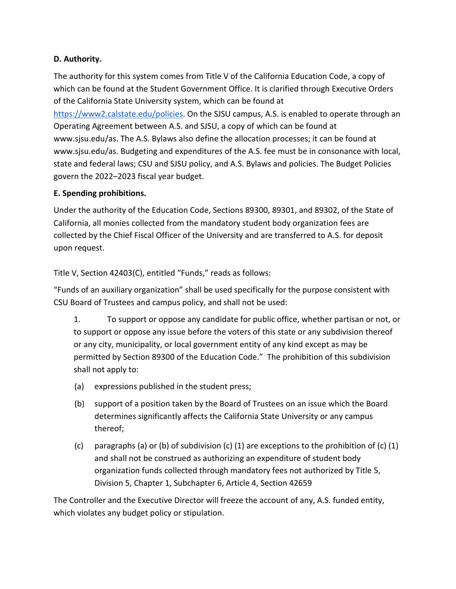### **D. Authority.**

The authority for this system comes from Title V of the California Education Code, a copy of which can be found at the Student Government Office. It is clarified through Executive Orders of the California State University system, which can be found at [https://www2.calstate.edu/policies.](https://www2.calstate.edu/policies) On the SJSU campus, A.S. is enabled to operate through an Operating Agreement between A.S. and SJSU, a copy of which can be found at www.sjsu.edu/as. The A.S. Bylaws also define the allocation processes; it can be found at www.sjsu.edu/as. Budgeting and expenditures of the A.S. fee must be in consonance with local, state and federal laws; CSU and SJSU policy, and A.S. Bylaws and policies. The Budget Policies govern the 2022–2023 fiscal year budget.

### **E. Spending prohibitions.**

Under the authority of the Education Code, Sections 89300, 89301, and 89302, of the State of California, all monies collected from the mandatory student body organization fees are collected by the Chief Fiscal Officer of the University and are transferred to A.S. for deposit upon request.

Title V, Section 42403(C), entitled "Funds," reads as follows:

"Funds of an auxiliary organization" shall be used specifically for the purpose consistent with CSU Board of Trustees and campus policy, and shall not be used:

1. To support or oppose any candidate for public office, whether partisan or not, or to support or oppose any issue before the voters of this state or any subdivision thereof or any city, municipality, or local government entity of any kind except as may be permitted by Section 89300 of the Education Code." The prohibition of this subdivision shall not apply to:

- (a) expressions published in the student press;
- (b) support of a position taken by the Board of Trustees on an issue which the Board determines significantly affects the California State University or any campus thereof;
- (c) paragraphs (a) or (b) of subdivision (c) (1) are exceptions to the prohibition of (c) (1) and shall not be construed as authorizing an expenditure of student body organization funds collected through mandatory fees not authorized by Title 5, Division 5, Chapter 1, Subchapter 6, Article 4, Section 42659

The Controller and the Executive Director will freeze the account of any, A.S. funded entity, which violates any budget policy or stipulation.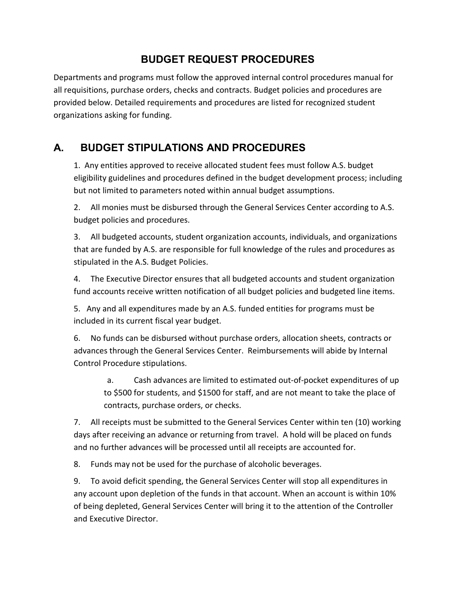## **BUDGET REQUEST PROCEDURES**

Departments and programs must follow the approved internal control procedures manual for all requisitions, purchase orders, checks and contracts. Budget policies and procedures are provided below. Detailed requirements and procedures are listed for recognized student organizations asking for funding.

# **A. BUDGET STIPULATIONS AND PROCEDURES**

1. Any entities approved to receive allocated student fees must follow A.S. budget eligibility guidelines and procedures defined in the budget development process; including but not limited to parameters noted within annual budget assumptions.

2. All monies must be disbursed through the General Services Center according to A.S. budget policies and procedures.

3. All budgeted accounts, student organization accounts, individuals, and organizations that are funded by A.S. are responsible for full knowledge of the rules and procedures as stipulated in the A.S. Budget Policies.

4. The Executive Director ensures that all budgeted accounts and student organization fund accounts receive written notification of all budget policies and budgeted line items.

5. Any and all expenditures made by an A.S. funded entities for programs must be included in its current fiscal year budget.

6. No funds can be disbursed without purchase orders, allocation sheets, contracts or advances through the General Services Center. Reimbursements will abide by Internal Control Procedure stipulations.

a. Cash advances are limited to estimated out-of-pocket expenditures of up to \$500 for students, and \$1500 for staff, and are not meant to take the place of contracts, purchase orders, or checks.

7. All receipts must be submitted to the General Services Center within ten (10) working days after receiving an advance or returning from travel. A hold will be placed on funds and no further advances will be processed until all receipts are accounted for.

8. Funds may not be used for the purchase of alcoholic beverages.

9. To avoid deficit spending, the General Services Center will stop all expenditures in any account upon depletion of the funds in that account. When an account is within 10% of being depleted, General Services Center will bring it to the attention of the Controller and Executive Director.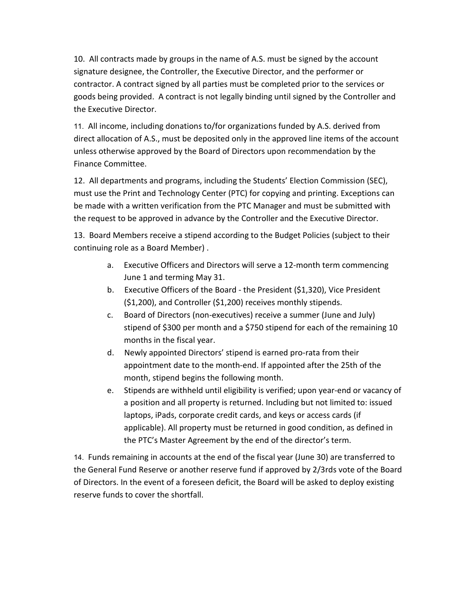10. All contracts made by groups in the name of A.S. must be signed by the account signature designee, the Controller, the Executive Director, and the performer or contractor. A contract signed by all parties must be completed prior to the services or goods being provided. A contract is not legally binding until signed by the Controller and the Executive Director.

11. All income, including donations to/for organizations funded by A.S. derived from direct allocation of A.S., must be deposited only in the approved line items of the account unless otherwise approved by the Board of Directors upon recommendation by the Finance Committee.

12. All departments and programs, including the Students' Election Commission (SEC), must use the Print and Technology Center (PTC) for copying and printing. Exceptions can be made with a written verification from the PTC Manager and must be submitted with the request to be approved in advance by the Controller and the Executive Director.

13. Board Members receive a stipend according to the Budget Policies (subject to their continuing role as a Board Member) .

- a. Executive Officers and Directors will serve a 12-month term commencing June 1 and terming May 31.
- b. Executive Officers of the Board the President (\$1,320), Vice President (\$1,200), and Controller (\$1,200) receives monthly stipends.
- c. Board of Directors (non-executives) receive a summer (June and July) stipend of \$300 per month and a \$750 stipend for each of the remaining 10 months in the fiscal year.
- d. Newly appointed Directors' stipend is earned pro-rata from their appointment date to the month-end. If appointed after the 25th of the month, stipend begins the following month.
- e. Stipends are withheld until eligibility is verified; upon year-end or vacancy of a position and all property is returned. Including but not limited to: issued laptops, iPads, corporate credit cards, and keys or access cards (if applicable). All property must be returned in good condition, as defined in the PTC's Master Agreement by the end of the director's term.

14. Funds remaining in accounts at the end of the fiscal year (June 30) are transferred to the General Fund Reserve or another reserve fund if approved by 2/3rds vote of the Board of Directors. In the event of a foreseen deficit, the Board will be asked to deploy existing reserve funds to cover the shortfall.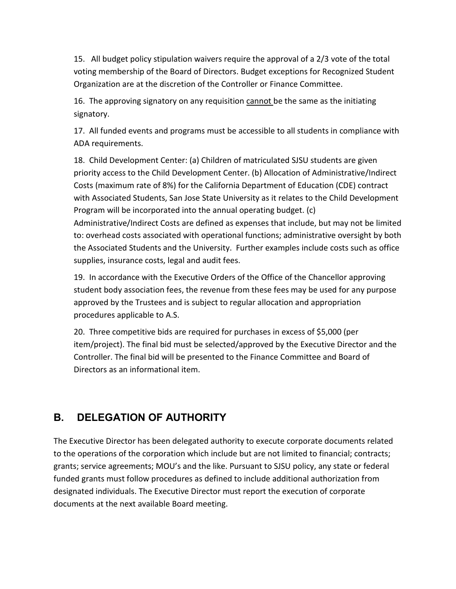15. All budget policy stipulation waivers require the approval of a 2/3 vote of the total voting membership of the Board of Directors. Budget exceptions for Recognized Student Organization are at the discretion of the Controller or Finance Committee.

16. The approving signatory on any requisition cannot be the same as the initiating signatory.

17. All funded events and programs must be accessible to all students in compliance with ADA requirements.

18. Child Development Center: (a) Children of matriculated SJSU students are given priority access to the Child Development Center. (b) Allocation of Administrative/Indirect Costs (maximum rate of 8%) for the California Department of Education (CDE) contract with Associated Students, San Jose State University as it relates to the Child Development Program will be incorporated into the annual operating budget. (c) Administrative/Indirect Costs are defined as expenses that include, but may not be limited to: overhead costs associated with operational functions; administrative oversight by both the Associated Students and the University. Further examples include costs such as office supplies, insurance costs, legal and audit fees.

19. In accordance with the Executive Orders of the Office of the Chancellor approving student body association fees, the revenue from these fees may be used for any purpose approved by the Trustees and is subject to regular allocation and appropriation procedures applicable to A.S.

20. Three competitive bids are required for purchases in excess of \$5,000 (per item/project). The final bid must be selected/approved by the Executive Director and the Controller. The final bid will be presented to the Finance Committee and Board of Directors as an informational item.

## **B. DELEGATION OF AUTHORITY**

The Executive Director has been delegated authority to execute corporate documents related to the operations of the corporation which include but are not limited to financial; contracts; grants; service agreements; MOU's and the like. Pursuant to SJSU policy, any state or federal funded grants must follow procedures as defined to include additional authorization from designated individuals. The Executive Director must report the execution of corporate documents at the next available Board meeting.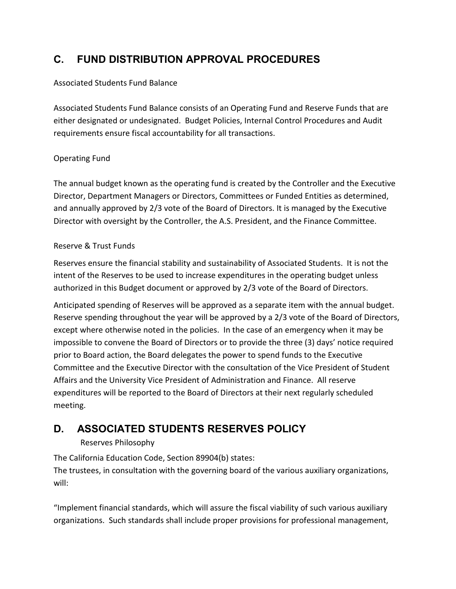# **C. FUND DISTRIBUTION APPROVAL PROCEDURES**

#### Associated Students Fund Balance

Associated Students Fund Balance consists of an Operating Fund and Reserve Funds that are either designated or undesignated. Budget Policies, Internal Control Procedures and Audit requirements ensure fiscal accountability for all transactions.

### Operating Fund

The annual budget known as the operating fund is created by the Controller and the Executive Director, Department Managers or Directors, Committees or Funded Entities as determined, and annually approved by 2/3 vote of the Board of Directors. It is managed by the Executive Director with oversight by the Controller, the A.S. President, and the Finance Committee.

### Reserve & Trust Funds

Reserves ensure the financial stability and sustainability of Associated Students. It is not the intent of the Reserves to be used to increase expenditures in the operating budget unless authorized in this Budget document or approved by 2/3 vote of the Board of Directors.

Anticipated spending of Reserves will be approved as a separate item with the annual budget. Reserve spending throughout the year will be approved by a 2/3 vote of the Board of Directors, except where otherwise noted in the policies. In the case of an emergency when it may be impossible to convene the Board of Directors or to provide the three (3) days' notice required prior to Board action, the Board delegates the power to spend funds to the Executive Committee and the Executive Director with the consultation of the Vice President of Student Affairs and the University Vice President of Administration and Finance. All reserve expenditures will be reported to the Board of Directors at their next regularly scheduled meeting.

# **D. ASSOCIATED STUDENTS RESERVES POLICY**

### Reserves Philosophy

The California Education Code, Section 89904(b) states:

The trustees, in consultation with the governing board of the various auxiliary organizations, will:

"Implement financial standards, which will assure the fiscal viability of such various auxiliary organizations. Such standards shall include proper provisions for professional management,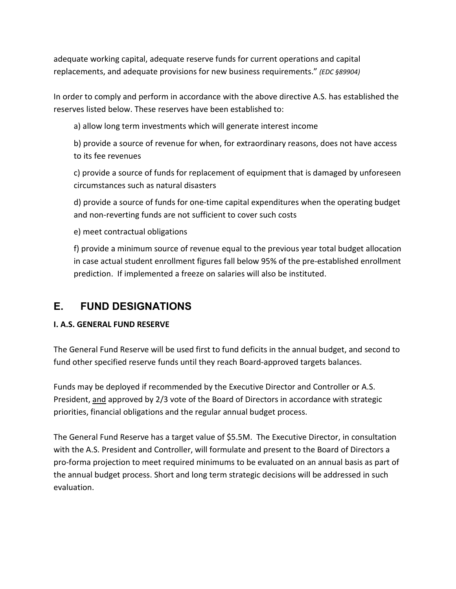adequate working capital, adequate reserve funds for current operations and capital replacements, and adequate provisions for new business requirements." *(EDC §89904)*

In order to comply and perform in accordance with the above directive A.S. has established the reserves listed below. These reserves have been established to:

a) allow long term investments which will generate interest income

b) provide a source of revenue for when, for extraordinary reasons, does not have access to its fee revenues

c) provide a source of funds for replacement of equipment that is damaged by unforeseen circumstances such as natural disasters

d) provide a source of funds for one-time capital expenditures when the operating budget and non-reverting funds are not sufficient to cover such costs

e) meet contractual obligations

f) provide a minimum source of revenue equal to the previous year total budget allocation in case actual student enrollment figures fall below 95% of the pre-established enrollment prediction. If implemented a freeze on salaries will also be instituted.

## **E. FUND DESIGNATIONS**

### **I. A.S. GENERAL FUND RESERVE**

The General Fund Reserve will be used first to fund deficits in the annual budget, and second to fund other specified reserve funds until they reach Board-approved targets balances.

Funds may be deployed if recommended by the Executive Director and Controller or A.S. President, and approved by 2/3 vote of the Board of Directors in accordance with strategic priorities, financial obligations and the regular annual budget process.

The General Fund Reserve has a target value of \$5.5M. The Executive Director, in consultation with the A.S. President and Controller, will formulate and present to the Board of Directors a pro-forma projection to meet required minimums to be evaluated on an annual basis as part of the annual budget process. Short and long term strategic decisions will be addressed in such evaluation.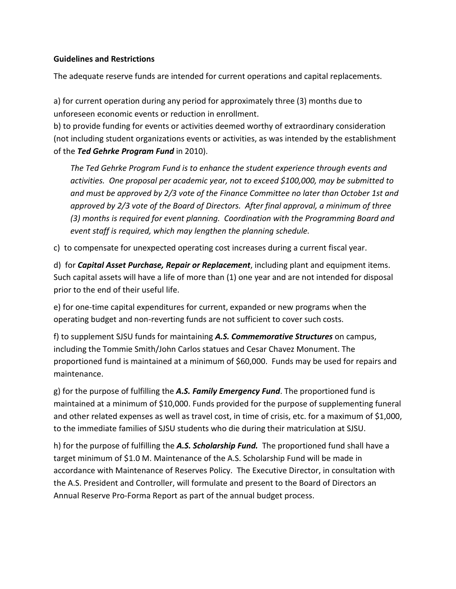#### **Guidelines and Restrictions**

The adequate reserve funds are intended for current operations and capital replacements.

a) for current operation during any period for approximately three (3) months due to unforeseen economic events or reduction in enrollment.

b) to provide funding for events or activities deemed worthy of extraordinary consideration (not including student organizations events or activities, as was intended by the establishment of the *Ted Gehrke Program Fund* in 2010).

*The Ted Gehrke Program Fund is to enhance the student experience through events and activities. One proposal per academic year, not to exceed \$100,000, may be submitted to and must be approved by 2/3 vote of the Finance Committee no later than October 1st and approved by 2/3 vote of the Board of Directors. After final approval, a minimum of three (3) months is required for event planning. Coordination with the Programming Board and event staff is required, which may lengthen the planning schedule.*

c) to compensate for unexpected operating cost increases during a current fiscal year.

d) for *Capital Asset Purchase, Repair or Replacement*, including plant and equipment items. Such capital assets will have a life of more than (1) one year and are not intended for disposal prior to the end of their useful life.

e) for one-time capital expenditures for current, expanded or new programs when the operating budget and non-reverting funds are not sufficient to cover such costs.

f) to supplement SJSU funds for maintaining *A.S. Commemorative Structures* on campus, including the Tommie Smith/John Carlos statues and Cesar Chavez Monument. The proportioned fund is maintained at a minimum of \$60,000. Funds may be used for repairs and maintenance.

g) for the purpose of fulfilling the *A.S. Family Emergency Fund*. The proportioned fund is maintained at a minimum of \$10,000. Funds provided for the purpose of supplementing funeral and other related expenses as well as travel cost, in time of crisis, etc. for a maximum of \$1,000, to the immediate families of SJSU students who die during their matriculation at SJSU.

h) for the purpose of fulfilling the *A.S. Scholarship Fund.* The proportioned fund shall have a target minimum of \$1.0 M. Maintenance of the A.S. Scholarship Fund will be made in accordance with Maintenance of Reserves Policy. The Executive Director, in consultation with the A.S. President and Controller, will formulate and present to the Board of Directors an Annual Reserve Pro-Forma Report as part of the annual budget process.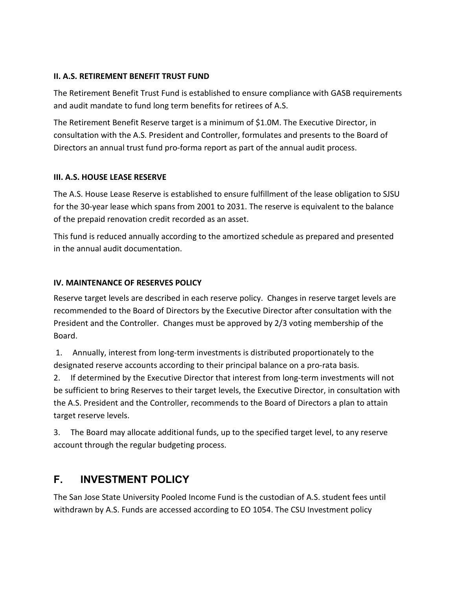#### **II. A.S. RETIREMENT BENEFIT TRUST FUND**

The Retirement Benefit Trust Fund is established to ensure compliance with GASB requirements and audit mandate to fund long term benefits for retirees of A.S.

The Retirement Benefit Reserve target is a minimum of \$1.0M. The Executive Director, in consultation with the A.S. President and Controller, formulates and presents to the Board of Directors an annual trust fund pro-forma report as part of the annual audit process.

#### **III. A.S. HOUSE LEASE RESERVE**

The A.S. House Lease Reserve is established to ensure fulfillment of the lease obligation to SJSU for the 30-year lease which spans from 2001 to 2031. The reserve is equivalent to the balance of the prepaid renovation credit recorded as an asset.

This fund is reduced annually according to the amortized schedule as prepared and presented in the annual audit documentation.

#### **IV. MAINTENANCE OF RESERVES POLICY**

Reserve target levels are described in each reserve policy. Changes in reserve target levels are recommended to the Board of Directors by the Executive Director after consultation with the President and the Controller. Changes must be approved by 2/3 voting membership of the Board.

1. Annually, interest from long-term investments is distributed proportionately to the designated reserve accounts according to their principal balance on a pro-rata basis.

2. If determined by the Executive Director that interest from long-term investments will not be sufficient to bring Reserves to their target levels, the Executive Director, in consultation with the A.S. President and the Controller, recommends to the Board of Directors a plan to attain target reserve levels.

3. The Board may allocate additional funds, up to the specified target level, to any reserve account through the regular budgeting process.

## **F. INVESTMENT POLICY**

The San Jose State University Pooled Income Fund is the custodian of A.S. student fees until withdrawn by A.S. Funds are accessed according to EO 1054. The CSU Investment policy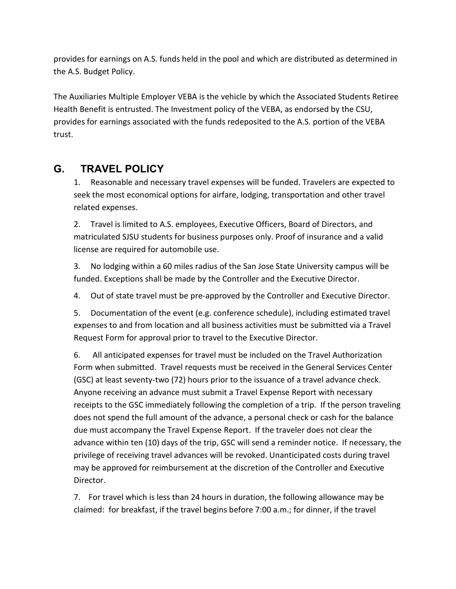provides for earnings on A.S. funds held in the pool and which are distributed as determined in the A.S. Budget Policy.

The Auxiliaries Multiple Employer VEBA is the vehicle by which the Associated Students Retiree Health Benefit is entrusted. The Investment policy of the VEBA, as endorsed by the CSU, provides for earnings associated with the funds redeposited to the A.S. portion of the VEBA trust.

## **G. TRAVEL POLICY**

1. Reasonable and necessary travel expenses will be funded. Travelers are expected to seek the most economical options for airfare, lodging, transportation and other travel related expenses.

2. Travel is limited to A.S. employees, Executive Officers, Board of Directors, and matriculated SJSU students for business purposes only. Proof of insurance and a valid license are required for automobile use.

3. No lodging within a 60 miles radius of the San Jose State University campus will be funded. Exceptions shall be made by the Controller and the Executive Director.

4. Out of state travel must be pre-approved by the Controller and Executive Director.

5. Documentation of the event (e.g. conference schedule), including estimated travel expenses to and from location and all business activities must be submitted via a Travel Request Form for approval prior to travel to the Executive Director.

6. All anticipated expenses for travel must be included on the Travel Authorization Form when submitted. Travel requests must be received in the General Services Center (GSC) at least seventy-two (72) hours prior to the issuance of a travel advance check. Anyone receiving an advance must submit a Travel Expense Report with necessary receipts to the GSC immediately following the completion of a trip. If the person traveling does not spend the full amount of the advance, a personal check or cash for the balance due must accompany the Travel Expense Report. If the traveler does not clear the advance within ten (10) days of the trip, GSC will send a reminder notice. If necessary, the privilege of receiving travel advances will be revoked. Unanticipated costs during travel may be approved for reimbursement at the discretion of the Controller and Executive Director.

7. For travel which is less than 24 hours in duration, the following allowance may be claimed: for breakfast, if the travel begins before 7:00 a.m.; for dinner, if the travel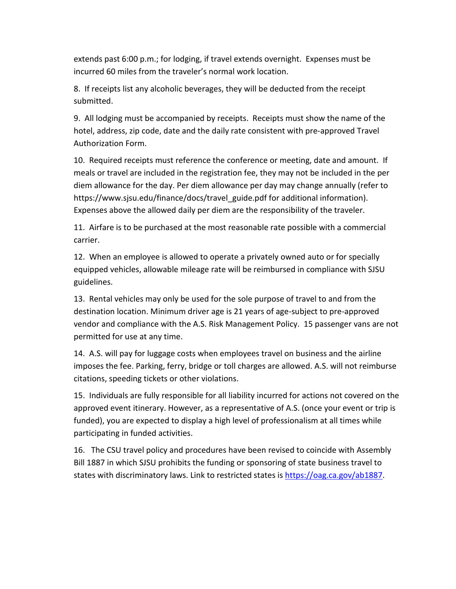extends past 6:00 p.m.; for lodging, if travel extends overnight. Expenses must be incurred 60 miles from the traveler's normal work location.

8. If receipts list any alcoholic beverages, they will be deducted from the receipt submitted.

9. All lodging must be accompanied by receipts. Receipts must show the name of the hotel, address, zip code, date and the daily rate consistent with pre-approved Travel Authorization Form.

10. Required receipts must reference the conference or meeting, date and amount. If meals or travel are included in the registration fee, they may not be included in the per diem allowance for the day. Per diem allowance per day may change annually (refer to https://www.sjsu.edu/finance/docs/travel\_guide.pdf for additional information). Expenses above the allowed daily per diem are the responsibility of the traveler.

11. Airfare is to be purchased at the most reasonable rate possible with a commercial carrier.

12. When an employee is allowed to operate a privately owned auto or for specially equipped vehicles, allowable mileage rate will be reimbursed in compliance with SJSU guidelines.

13. Rental vehicles may only be used for the sole purpose of travel to and from the destination location. Minimum driver age is 21 years of age-subject to pre-approved vendor and compliance with the A.S. Risk Management Policy. 15 passenger vans are not permitted for use at any time.

14. A.S. will pay for luggage costs when employees travel on business and the airline imposes the fee. Parking, ferry, bridge or toll charges are allowed. A.S. will not reimburse citations, speeding tickets or other violations.

15. Individuals are fully responsible for all liability incurred for actions not covered on the approved event itinerary. However, as a representative of A.S. (once your event or trip is funded), you are expected to display a high level of professionalism at all times while participating in funded activities.

16. The CSU travel policy and procedures have been revised to coincide with Assembly Bill 1887 in which SJSU prohibits the funding or sponsoring of state business travel to states with discriminatory laws. Link to restricted states is [https://oag.ca.gov/ab1887.](https://oag.ca.gov/ab1887)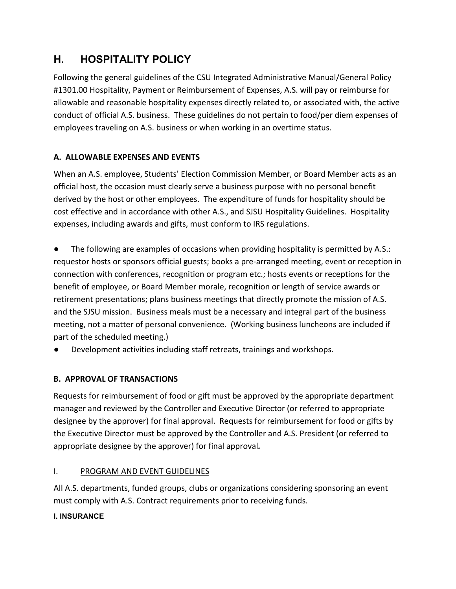# **H. HOSPITALITY POLICY**

Following the general guidelines of the CSU Integrated Administrative Manual/General Policy #1301.00 Hospitality, Payment or Reimbursement of Expenses, A.S. will pay or reimburse for allowable and reasonable hospitality expenses directly related to, or associated with, the active conduct of official A.S. business. These guidelines do not pertain to food/per diem expenses of employees traveling on A.S. business or when working in an overtime status.

### **A. ALLOWABLE EXPENSES AND EVENTS**

When an A.S. employee, Students' Election Commission Member, or Board Member acts as an official host, the occasion must clearly serve a business purpose with no personal benefit derived by the host or other employees. The expenditure of funds for hospitality should be cost effective and in accordance with other A.S., and SJSU Hospitality Guidelines. Hospitality expenses, including awards and gifts, must conform to IRS regulations.

The following are examples of occasions when providing hospitality is permitted by A.S.: requestor hosts or sponsors official guests; books a pre-arranged meeting, event or reception in connection with conferences, recognition or program etc.; hosts events or receptions for the benefit of employee, or Board Member morale, recognition or length of service awards or retirement presentations; plans business meetings that directly promote the mission of A.S. and the SJSU mission. Business meals must be a necessary and integral part of the business meeting, not a matter of personal convenience. (Working business luncheons are included if part of the scheduled meeting.)

Development activities including staff retreats, trainings and workshops.

### **B. APPROVAL OF TRANSACTIONS**

Requests for reimbursement of food or gift must be approved by the appropriate department manager and reviewed by the Controller and Executive Director (or referred to appropriate designee by the approver) for final approval. Requests for reimbursement for food or gifts by the Executive Director must be approved by the Controller and A.S. President (or referred to appropriate designee by the approver) for final approval*.* 

### I. PROGRAM AND EVENT GUIDELINES

All A.S. departments, funded groups, clubs or organizations considering sponsoring an event must comply with A.S. Contract requirements prior to receiving funds.

#### **I. INSURANCE**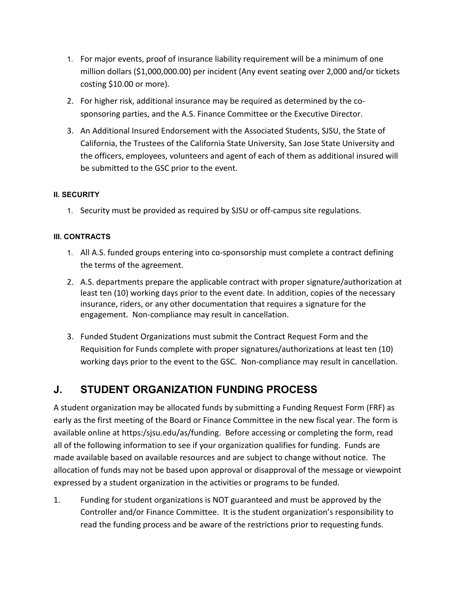- 1. For major events, proof of insurance liability requirement will be a minimum of one million dollars (\$1,000,000.00) per incident (Any event seating over 2,000 and/or tickets costing \$10.00 or more).
- 2. For higher risk, additional insurance may be required as determined by the cosponsoring parties, and the A.S. Finance Committee or the Executive Director.
- 3. An Additional Insured Endorsement with the Associated Students, SJSU, the State of California, the Trustees of the California State University, San Jose State University and the officers, employees, volunteers and agent of each of them as additional insured will be submitted to the GSC prior to the event.

#### **II. SECURITY**

1. Security must be provided as required by SJSU or off-campus site regulations.

#### **III. CONTRACTS**

- 1. All A.S. funded groups entering into co-sponsorship must complete a contract defining the terms of the agreement.
- 2. A.S. departments prepare the applicable contract with proper signature/authorization at least ten (10) working days prior to the event date. In addition, copies of the necessary insurance, riders, or any other documentation that requires a signature for the engagement. Non-compliance may result in cancellation.
- 3. Funded Student Organizations must submit the Contract Request Form and the Requisition for Funds complete with proper signatures/authorizations at least ten (10) working days prior to the event to the GSC. Non-compliance may result in cancellation.

## **J. STUDENT ORGANIZATION FUNDING PROCESS**

A student organization may be allocated funds by submitting a Funding Request Form (FRF) as early as the first meeting of the Board or Finance Committee in the new fiscal year. The form is available online at https:/sjsu.edu/as/funding. Before accessing or completing the form, read all of the following information to see if your organization qualifies for funding. Funds are made available based on available resources and are subject to change without notice. The allocation of funds may not be based upon approval or disapproval of the message or viewpoint expressed by a student organization in the activities or programs to be funded.

1. Funding for student organizations is NOT guaranteed and must be approved by the Controller and/or Finance Committee. It is the student organization's responsibility to read the funding process and be aware of the restrictions prior to requesting funds.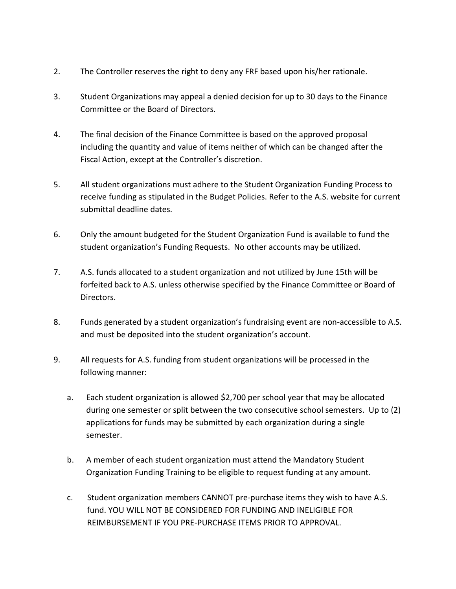- 2. The Controller reserves the right to deny any FRF based upon his/her rationale.
- 3. Student Organizations may appeal a denied decision for up to 30 days to the Finance Committee or the Board of Directors.
- 4. The final decision of the Finance Committee is based on the approved proposal including the quantity and value of items neither of which can be changed after the Fiscal Action, except at the Controller's discretion.
- 5. All student organizations must adhere to the Student Organization Funding Process to receive funding as stipulated in the Budget Policies. Refer to the A.S. website for current submittal deadline dates.
- 6. Only the amount budgeted for the Student Organization Fund is available to fund the student organization's Funding Requests. No other accounts may be utilized.
- 7. A.S. funds allocated to a student organization and not utilized by June 15th will be forfeited back to A.S. unless otherwise specified by the Finance Committee or Board of Directors.
- 8. Funds generated by a student organization's fundraising event are non-accessible to A.S. and must be deposited into the student organization's account.
- 9. All requests for A.S. funding from student organizations will be processed in the following manner:
	- a. Each student organization is allowed \$2,700 per school year that may be allocated during one semester or split between the two consecutive school semesters. Up to (2) applications for funds may be submitted by each organization during a single semester.
	- b. A member of each student organization must attend the Mandatory Student Organization Funding Training to be eligible to request funding at any amount.
	- c. Student organization members CANNOT pre-purchase items they wish to have A.S. fund. YOU WILL NOT BE CONSIDERED FOR FUNDING AND INELIGIBLE FOR REIMBURSEMENT IF YOU PRE-PURCHASE ITEMS PRIOR TO APPROVAL.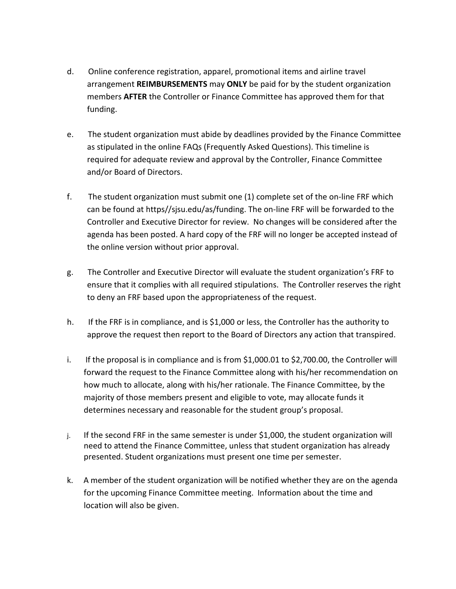- d. Online conference registration, apparel, promotional items and airline travel arrangement **REIMBURSEMENTS** may **ONLY** be paid for by the student organization members **AFTER** the Controller or Finance Committee has approved them for that funding.
- e. The student organization must abide by deadlines provided by the Finance Committee as stipulated in the online FAQs (Frequently Asked Questions). This timeline is required for adequate review and approval by the Controller, Finance Committee and/or Board of Directors.
- f. The student organization must submit one (1) complete set of the on-line FRF which can be found at https//sjsu.edu/as/funding. The on-line FRF will be forwarded to the Controller and Executive Director for review. No changes will be considered after the agenda has been posted. A hard copy of the FRF will no longer be accepted instead of the online version without prior approval.
- g. The Controller and Executive Director will evaluate the student organization's FRF to ensure that it complies with all required stipulations. The Controller reserves the right to deny an FRF based upon the appropriateness of the request.
- h. If the FRF is in compliance, and is \$1,000 or less, the Controller has the authority to approve the request then report to the Board of Directors any action that transpired.
- i. If the proposal is in compliance and is from \$1,000.01 to \$2,700.00, the Controller will forward the request to the Finance Committee along with his/her recommendation on how much to allocate, along with his/her rationale. The Finance Committee, by the majority of those members present and eligible to vote, may allocate funds it determines necessary and reasonable for the student group's proposal.
- j. If the second FRF in the same semester is under \$1,000, the student organization will need to attend the Finance Committee, unless that student organization has already presented. Student organizations must present one time per semester.
- k. A member of the student organization will be notified whether they are on the agenda for the upcoming Finance Committee meeting. Information about the time and location will also be given.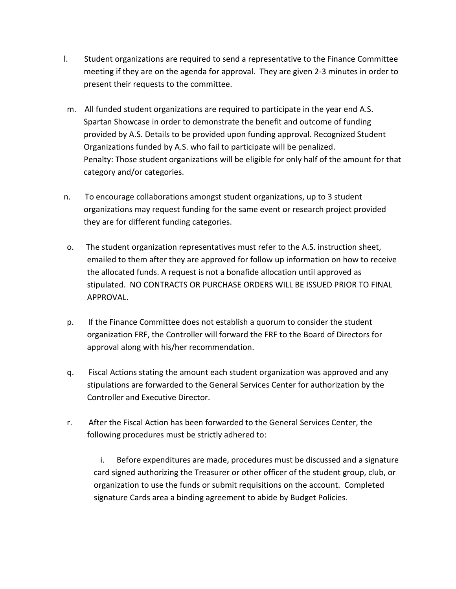- l. Student organizations are required to send a representative to the Finance Committee meeting if they are on the agenda for approval. They are given 2-3 minutes in order to present their requests to the committee.
- m. All funded student organizations are required to participate in the year end A.S. Spartan Showcase in order to demonstrate the benefit and outcome of funding provided by A.S. Details to be provided upon funding approval. Recognized Student Organizations funded by A.S. who fail to participate will be penalized. Penalty: Those student organizations will be eligible for only half of the amount for that category and/or categories.
- n. To encourage collaborations amongst student organizations, up to 3 student organizations may request funding for the same event or research project provided they are for different funding categories.
- o. The student organization representatives must refer to the A.S. instruction sheet, emailed to them after they are approved for follow up information on how to receive the allocated funds. A request is not a bonafide allocation until approved as stipulated. NO CONTRACTS OR PURCHASE ORDERS WILL BE ISSUED PRIOR TO FINAL APPROVAL.
- p. If the Finance Committee does not establish a quorum to consider the student organization FRF, the Controller will forward the FRF to the Board of Directors for approval along with his/her recommendation.
- q. Fiscal Actions stating the amount each student organization was approved and any stipulations are forwarded to the General Services Center for authorization by the Controller and Executive Director.
- r. After the Fiscal Action has been forwarded to the General Services Center, the following procedures must be strictly adhered to:

 i. Before expenditures are made, procedures must be discussed and a signature card signed authorizing the Treasurer or other officer of the student group, club, or organization to use the funds or submit requisitions on the account. Completed signature Cards area a binding agreement to abide by Budget Policies.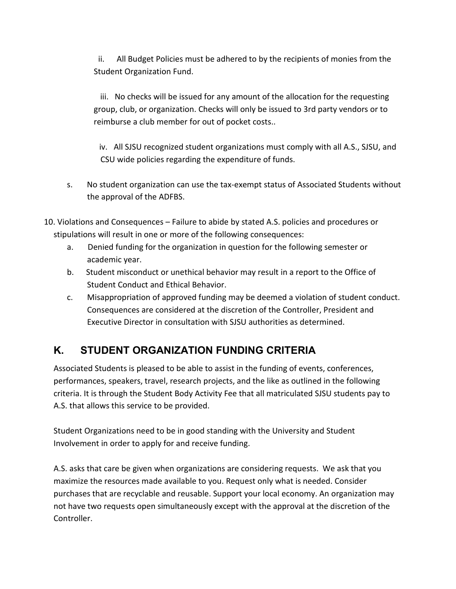ii. All Budget Policies must be adhered to by the recipients of monies from the Student Organization Fund.

 iii. No checks will be issued for any amount of the allocation for the requesting group, club, or organization. Checks will only be issued to 3rd party vendors or to reimburse a club member for out of pocket costs..

iv. All SJSU recognized student organizations must comply with all A.S., SJSU, and CSU wide policies regarding the expenditure of funds.

- s. No student organization can use the tax-exempt status of Associated Students without the approval of the ADFBS.
- 10. Violations and Consequences Failure to abide by stated A.S. policies and procedures or stipulations will result in one or more of the following consequences:
	- a. Denied funding for the organization in question for the following semester or academic year.
	- b. Student misconduct or unethical behavior may result in a report to the Office of Student Conduct and Ethical Behavior.
	- c. Misappropriation of approved funding may be deemed a violation of student conduct. Consequences are considered at the discretion of the Controller, President and Executive Director in consultation with SJSU authorities as determined.

# **K. STUDENT ORGANIZATION FUNDING CRITERIA**

Associated Students is pleased to be able to assist in the funding of events, conferences, performances, speakers, travel, research projects, and the like as outlined in the following criteria. It is through the Student Body Activity Fee that all matriculated SJSU students pay to A.S. that allows this service to be provided.

Student Organizations need to be in good standing with the University and Student Involvement in order to apply for and receive funding.

A.S. asks that care be given when organizations are considering requests. We ask that you maximize the resources made available to you. Request only what is needed. Consider purchases that are recyclable and reusable. Support your local economy. An organization may not have two requests open simultaneously except with the approval at the discretion of the Controller.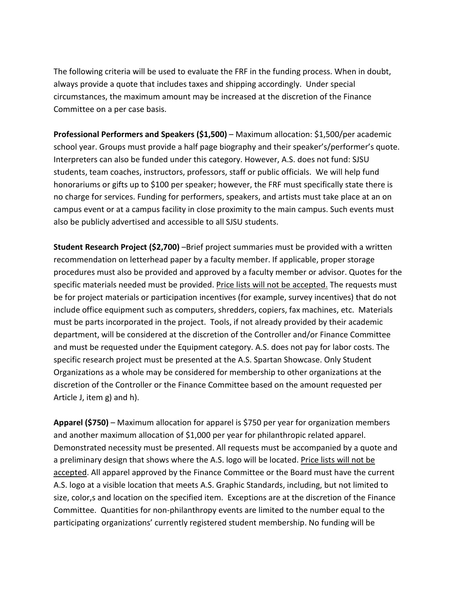The following criteria will be used to evaluate the FRF in the funding process. When in doubt, always provide a quote that includes taxes and shipping accordingly. Under special circumstances, the maximum amount may be increased at the discretion of the Finance Committee on a per case basis.

**Professional Performers and Speakers (\$1,500)** – Maximum allocation: \$1,500/per academic school year. Groups must provide a half page biography and their speaker's/performer's quote. Interpreters can also be funded under this category. However, A.S. does not fund: SJSU students, team coaches, instructors, professors, staff or public officials. We will help fund honorariums or gifts up to \$100 per speaker; however, the FRF must specifically state there is no charge for services. Funding for performers, speakers, and artists must take place at an on campus event or at a campus facility in close proximity to the main campus. Such events must also be publicly advertised and accessible to all SJSU students.

**Student Research Project (\$2,700)** –Brief project summaries must be provided with a written recommendation on letterhead paper by a faculty member. If applicable, proper storage procedures must also be provided and approved by a faculty member or advisor. Quotes for the specific materials needed must be provided. Price lists will not be accepted. The requests must be for project materials or participation incentives (for example, survey incentives) that do not include office equipment such as computers, shredders, copiers, fax machines, etc. Materials must be parts incorporated in the project. Tools, if not already provided by their academic department, will be considered at the discretion of the Controller and/or Finance Committee and must be requested under the Equipment category. A.S. does not pay for labor costs. The specific research project must be presented at the A.S. Spartan Showcase. Only Student Organizations as a whole may be considered for membership to other organizations at the discretion of the Controller or the Finance Committee based on the amount requested per Article J, item g) and h).

**Apparel (\$750)** – Maximum allocation for apparel is \$750 per year for organization members and another maximum allocation of \$1,000 per year for philanthropic related apparel. Demonstrated necessity must be presented. All requests must be accompanied by a quote and a preliminary design that shows where the A.S. logo will be located. Price lists will not be accepted. All apparel approved by the Finance Committee or the Board must have the current A.S. logo at a visible location that meets A.S. Graphic Standards, including, but not limited to size, color,s and location on the specified item. Exceptions are at the discretion of the Finance Committee. Quantities for non-philanthropy events are limited to the number equal to the participating organizations' currently registered student membership. No funding will be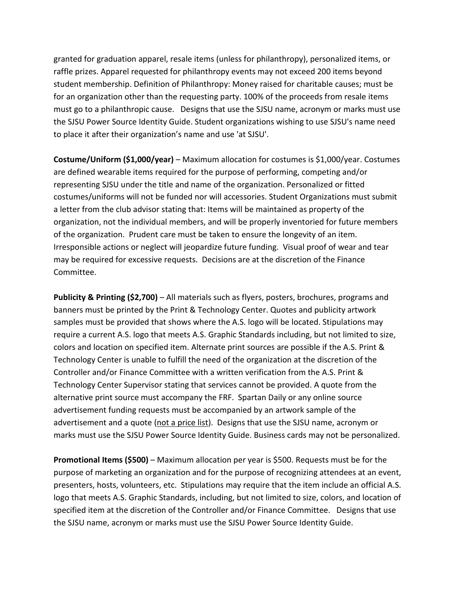granted for graduation apparel, resale items (unless for philanthropy), personalized items, or raffle prizes. Apparel requested for philanthropy events may not exceed 200 items beyond student membership. Definition of Philanthropy: Money raised for charitable causes; must be for an organization other than the requesting party. 100% of the proceeds from resale items must go to a philanthropic cause. Designs that use the SJSU name, acronym or marks must use the SJSU Power Source Identity Guide. Student organizations wishing to use SJSU's name need to place it after their organization's name and use 'at SJSU'.

**Costume/Uniform (\$1,000/year)** – Maximum allocation for costumes is \$1,000/year. Costumes are defined wearable items required for the purpose of performing, competing and/or representing SJSU under the title and name of the organization. Personalized or fitted costumes/uniforms will not be funded nor will accessories. Student Organizations must submit a letter from the club advisor stating that: Items will be maintained as property of the organization, not the individual members, and will be properly inventoried for future members of the organization. Prudent care must be taken to ensure the longevity of an item. Irresponsible actions or neglect will jeopardize future funding. Visual proof of wear and tear may be required for excessive requests. Decisions are at the discretion of the Finance Committee.

**Publicity & Printing (\$2,700)** – All materials such as flyers, posters, brochures, programs and banners must be printed by the Print & Technology Center. Quotes and publicity artwork samples must be provided that shows where the A.S. logo will be located. Stipulations may require a current A.S. logo that meets A.S. Graphic Standards including, but not limited to size, colors and location on specified item. Alternate print sources are possible if the A.S. Print & Technology Center is unable to fulfill the need of the organization at the discretion of the Controller and/or Finance Committee with a written verification from the A.S. Print & Technology Center Supervisor stating that services cannot be provided. A quote from the alternative print source must accompany the FRF. Spartan Daily or any online source advertisement funding requests must be accompanied by an artwork sample of the advertisement and a quote (not a price list). Designs that use the SJSU name, acronym or marks must use the SJSU Power Source Identity Guide. Business cards may not be personalized.

**Promotional Items (\$500)** – Maximum allocation per year is \$500. Requests must be for the purpose of marketing an organization and for the purpose of recognizing attendees at an event, presenters, hosts, volunteers, etc. Stipulations may require that the item include an official A.S. logo that meets A.S. Graphic Standards, including, but not limited to size, colors, and location of specified item at the discretion of the Controller and/or Finance Committee. Designs that use the SJSU name, acronym or marks must use the SJSU Power Source Identity Guide.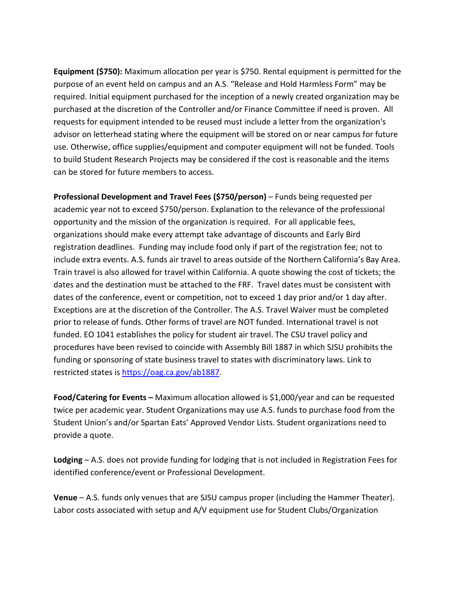**Equipment (\$750):** Maximum allocation per year is \$750. Rental equipment is permitted for the purpose of an event held on campus and an A.S. "Release and Hold Harmless Form" may be required. Initial equipment purchased for the inception of a newly created organization may be purchased at the discretion of the Controller and/or Finance Committee if need is proven. All requests for equipment intended to be reused must include a letter from the organization's advisor on letterhead stating where the equipment will be stored on or near campus for future use. Otherwise, office supplies/equipment and computer equipment will not be funded. Tools to build Student Research Projects may be considered if the cost is reasonable and the items can be stored for future members to access.

**Professional Development and Travel Fees (\$750/person)** – Funds being requested per academic year not to exceed \$750/person. Explanation to the relevance of the professional opportunity and the mission of the organization is required. For all applicable fees, organizations should make every attempt take advantage of discounts and Early Bird registration deadlines. Funding may include food only if part of the registration fee; not to include extra events. A.S. funds air travel to areas outside of the Northern California's Bay Area. Train travel is also allowed for travel within California. A quote showing the cost of tickets; the dates and the destination must be attached to the FRF. Travel dates must be consistent with dates of the conference, event or competition, not to exceed 1 day prior and/or 1 day after. Exceptions are at the discretion of the Controller. The A.S. Travel Waiver must be completed prior to release of funds. Other forms of travel are NOT funded. International travel is not funded. EO 1041 establishes the policy for student air travel. The CSU travel policy and procedures have been revised to coincide with Assembly Bill 1887 in which SJSU prohibits the funding or sponsoring of state business travel to states with discriminatory laws. Link to restricted states is [https://oag.ca.gov/ab1887.](https://oag.ca.gov/ab1887)

**Food/Catering for Events –** Maximum allocation allowed is \$1,000/year and can be requested twice per academic year. Student Organizations may use A.S. funds to purchase food from the Student Union's and/or Spartan Eats' Approved Vendor Lists. Student organizations need to provide a quote.

**Lodging** – A.S. does not provide funding for lodging that is not included in Registration Fees for identified conference/event or Professional Development.

**Venue** – A.S. funds only venues that are SJSU campus proper (including the Hammer Theater). Labor costs associated with setup and A/V equipment use for Student Clubs/Organization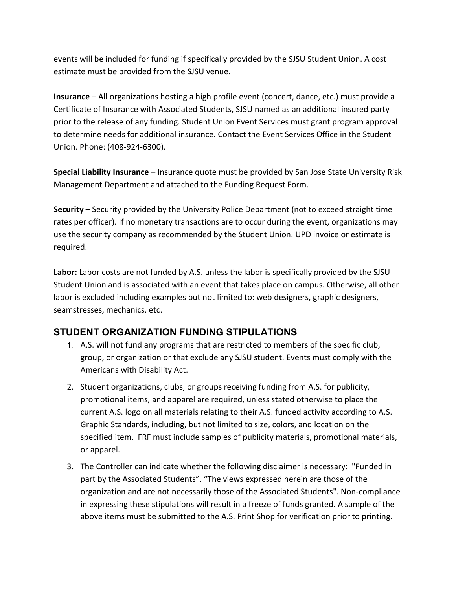events will be included for funding if specifically provided by the SJSU Student Union. A cost estimate must be provided from the SJSU venue.

**Insurance** – All organizations hosting a high profile event (concert, dance, etc.) must provide a Certificate of Insurance with Associated Students, SJSU named as an additional insured party prior to the release of any funding. Student Union Event Services must grant program approval to determine needs for additional insurance. Contact the Event Services Office in the Student Union. Phone: (408-924-6300).

**Special Liability Insurance** – Insurance quote must be provided by San Jose State University Risk Management Department and attached to the Funding Request Form.

**Security** – Security provided by the University Police Department (not to exceed straight time rates per officer). If no monetary transactions are to occur during the event, organizations may use the security company as recommended by the Student Union. UPD invoice or estimate is required.

**Labor:** Labor costs are not funded by A.S. unless the labor is specifically provided by the SJSU Student Union and is associated with an event that takes place on campus. Otherwise, all other labor is excluded including examples but not limited to: web designers, graphic designers, seamstresses, mechanics, etc.

## **STUDENT ORGANIZATION FUNDING STIPULATIONS**

- 1. A.S. will not fund any programs that are restricted to members of the specific club, group, or organization or that exclude any SJSU student. Events must comply with the Americans with Disability Act.
- 2. Student organizations, clubs, or groups receiving funding from A.S. for publicity, promotional items, and apparel are required, unless stated otherwise to place the current A.S. logo on all materials relating to their A.S. funded activity according to A.S. Graphic Standards, including, but not limited to size, colors, and location on the specified item. FRF must include samples of publicity materials, promotional materials, or apparel.
- 3. The Controller can indicate whether the following disclaimer is necessary: "Funded in part by the Associated Students". "The views expressed herein are those of the organization and are not necessarily those of the Associated Students". Non-compliance in expressing these stipulations will result in a freeze of funds granted. A sample of the above items must be submitted to the A.S. Print Shop for verification prior to printing.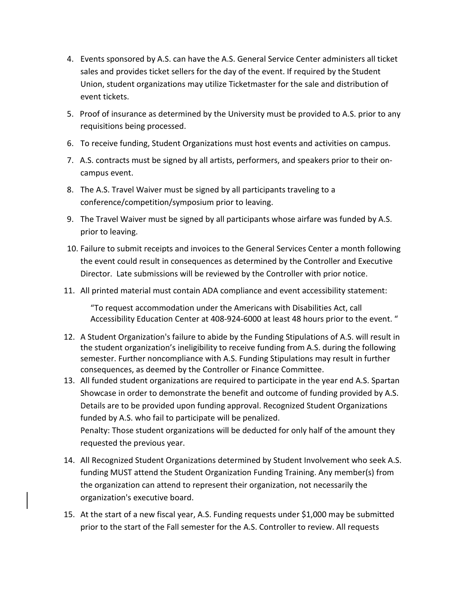- 4. Events sponsored by A.S. can have the A.S. General Service Center administers all ticket sales and provides ticket sellers for the day of the event. If required by the Student Union, student organizations may utilize Ticketmaster for the sale and distribution of event tickets.
- 5. Proof of insurance as determined by the University must be provided to A.S. prior to any requisitions being processed.
- 6. To receive funding, Student Organizations must host events and activities on campus.
- 7. A.S. contracts must be signed by all artists, performers, and speakers prior to their oncampus event.
- 8. The A.S. Travel Waiver must be signed by all participants traveling to a conference/competition/symposium prior to leaving.
- 9. The Travel Waiver must be signed by all participants whose airfare was funded by A.S. prior to leaving.
- 10. Failure to submit receipts and invoices to the General Services Center a month following the event could result in consequences as determined by the Controller and Executive Director. Late submissions will be reviewed by the Controller with prior notice.
- 11. All printed material must contain ADA compliance and event accessibility statement:

"To request accommodation under the Americans with Disabilities Act, call Accessibility Education Center at 408-924-6000 at least 48 hours prior to the event. "

- 12. A Student Organization's failure to abide by the Funding Stipulations of A.S. will result in the student organization's ineligibility to receive funding from A.S. during the following semester. Further noncompliance with A.S. Funding Stipulations may result in further consequences, as deemed by the Controller or Finance Committee.
- 13. All funded student organizations are required to participate in the year end A.S. Spartan Showcase in order to demonstrate the benefit and outcome of funding provided by A.S. Details are to be provided upon funding approval. Recognized Student Organizations funded by A.S. who fail to participate will be penalized. Penalty: Those student organizations will be deducted for only half of the amount they requested the previous year.
- 14. All Recognized Student Organizations determined by Student Involvement who seek A.S. funding MUST attend the Student Organization Funding Training. Any member(s) from the organization can attend to represent their organization, not necessarily the organization's executive board.
- 15. At the start of a new fiscal year, A.S. Funding requests under \$1,000 may be submitted prior to the start of the Fall semester for the A.S. Controller to review. All requests